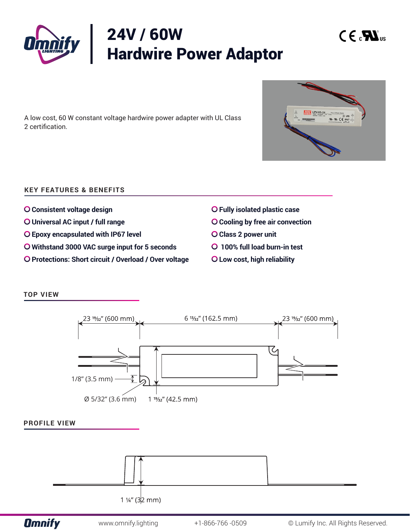

A low cost, 60 W constant voltage hardwire power adapter with UL Class 2 certification.

## **KEY FEATURES & BENEFITS**

- **Consistent voltage design**
- **Universal AC input / full range**
- **Epoxy encapsulated with IP67 level**
- **Withstand 3000 VAC surge input for 5 seconds**
- **O Protections: Short circuit / Overload / Over voltage**
- **Fully isolated plastic case**
- **Cooling by free air convection**
- **Class 2 power unit**
- **100% full load burn-in test**
- **Low cost, high reliability**

### **TOP VIEW**







 $C \in \mathcal{L}$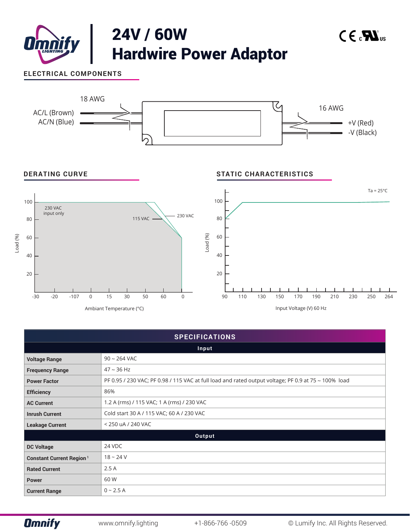

| <b>SPECIFICATIONS</b>            |                                                                                                      |  |  |
|----------------------------------|------------------------------------------------------------------------------------------------------|--|--|
| Input                            |                                                                                                      |  |  |
| <b>Voltage Range</b>             | $90 \sim 264$ VAC                                                                                    |  |  |
| <b>Frequency Range</b>           | $47 \sim 36$ Hz                                                                                      |  |  |
| <b>Power Factor</b>              | PF 0.95 / 230 VAC; PF 0.98 / 115 VAC at full load and rated output voltage; PF 0.9 at 75 ~ 100% load |  |  |
| <b>Efficiency</b>                | 86%                                                                                                  |  |  |
| <b>AC Current</b>                | 1.2 A (rms) / 115 VAC; 1 A (rms) / 230 VAC                                                           |  |  |
| <b>Inrush Current</b>            | Cold start 30 A / 115 VAC; 60 A / 230 VAC                                                            |  |  |
| <b>Leakage Current</b>           | < 250 uA / 240 VAC                                                                                   |  |  |
| Output                           |                                                                                                      |  |  |
| <b>DC Voltage</b>                | 24 VDC                                                                                               |  |  |
| <b>Constant Current Region 1</b> | $18 - 24V$                                                                                           |  |  |
| <b>Rated Current</b>             | 2.5A                                                                                                 |  |  |
| <b>Power</b>                     | 60 W                                                                                                 |  |  |
| <b>Current Range</b>             | $0 - 2.5 A$                                                                                          |  |  |

**Omnify**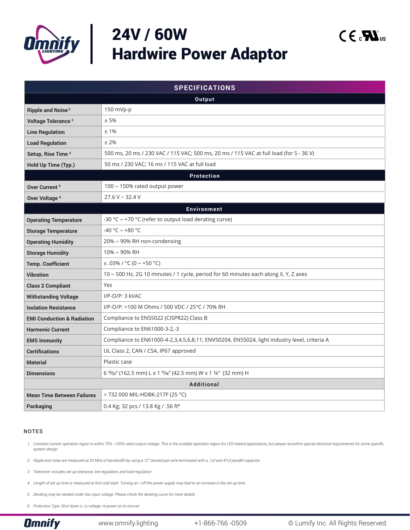

# 24V / 60W Hardwire Power Adaptor

| <b>SPECIFICATIONS</b>                 |                                                                                             |  |  |  |
|---------------------------------------|---------------------------------------------------------------------------------------------|--|--|--|
| Output                                |                                                                                             |  |  |  |
| <b>Ripple and Noise<sup>2</sup></b>   | 150 mVp-p                                                                                   |  |  |  |
| Voltage Tolerance <sup>3</sup>        | ±5%                                                                                         |  |  |  |
| <b>Line Regulation</b>                | ±1%                                                                                         |  |  |  |
| <b>Load Regulation</b>                | ±2%                                                                                         |  |  |  |
| Setup, Rise Time 4                    | 500 ms, 20 ms / 230 VAC / 115 VAC; 500 ms, 20 ms / 115 VAC at full load (for 5 - 36 V)      |  |  |  |
| Hold Up Time (Typ.)                   | 50 ms / 230 VAC; 16 ms / 115 VAC at full load                                               |  |  |  |
|                                       | <b>Protection</b>                                                                           |  |  |  |
| Over Current <sup>5</sup>             | 100 ~ 150% rated output power                                                               |  |  |  |
| Over Voltage <sup>6</sup>             | $27.6 V - 32.4 V$                                                                           |  |  |  |
| <b>Environment</b>                    |                                                                                             |  |  |  |
| <b>Operating Temperature</b>          | -30 °C $\sim$ +70 °C (refer to output load derating curve)                                  |  |  |  |
| <b>Storage Temperature</b>            | -40 °C ~ +80 °C                                                                             |  |  |  |
| <b>Operating Humidity</b>             | 20% ~ 90% RH non-condensing                                                                 |  |  |  |
| <b>Storage Humidity</b>               | 10% ~ 90% RH                                                                                |  |  |  |
| <b>Temp. Coefficient</b>              | $\pm$ .03% / °C (0 ~ +50 °C)                                                                |  |  |  |
| <b>Vibration</b>                      | 10 ~ 500 Hz, 2G 10 minutes / 1 cycle, period for 60 minutes each along X, Y, Z axes         |  |  |  |
| <b>Class 2 Compliant</b>              | Yes                                                                                         |  |  |  |
| <b>Withstanding Voltage</b>           | I/P-O/P: 3 kVAC                                                                             |  |  |  |
| <b>Isolation Resistance</b>           | I/P-O/P: >100 M Ohms / 500 VDC / 25°C / 70% RH                                              |  |  |  |
| <b>EMI Conduction &amp; Radiation</b> | Compliance to EN55022 (CISPR22) Class B                                                     |  |  |  |
| <b>Harmonic Current</b>               | Compliance to EN61000-3-2,-3                                                                |  |  |  |
| <b>EMS Immunity</b>                   | Compliance to EN61000-4-2,3,4,5,6,8,11; ENV50204, EN55024, light industry level, criteria A |  |  |  |
| <b>Certifications</b>                 | UL Class 2, CAN / CSA, IP67 approved                                                        |  |  |  |
| <b>Material</b>                       | Plastic case                                                                                |  |  |  |
| <b>Dimensions</b>                     | 6 13/32" (162.5 mm) L x 1 11/16" (42.5 mm) W x 1 1/4" (32 mm) H                             |  |  |  |
| <b>Additional</b>                     |                                                                                             |  |  |  |
| <b>Mean Time Between Failures</b>     | > 732 000 MIL-HDBK-217F (25 °C)                                                             |  |  |  |
| <b>Packaging</b>                      | 0.4 Kg; 32 pcs / 13.8 Kg / .56 ft <sup>3</sup>                                              |  |  |  |

#### NOTES

1. Constant current operation region is within 75% ~100% rated output voltage. This is the suitable operation region for LED related applications, but please reconfirm special electrical requirements for some specific *system design*

*2. Ripple and noise are measured at 20 MHz of bandwidth by using a 12" twisted pair-wire terminated with a .1uf and 47uf parallel capacitor*

*3. Tolerance: includes set up tolerance, line regulation, and load regulation*

*4. Length of set up time is measured at first cold start. Turning on / off the power supply may lead to an increase in the set up time*

*5. Derating may be needed under low input voltage. Please check the derating curve for more details*

*6. Protection Type: Shut down o / p voltage, re-power on to recover*

 $C \in \mathcal{L}$